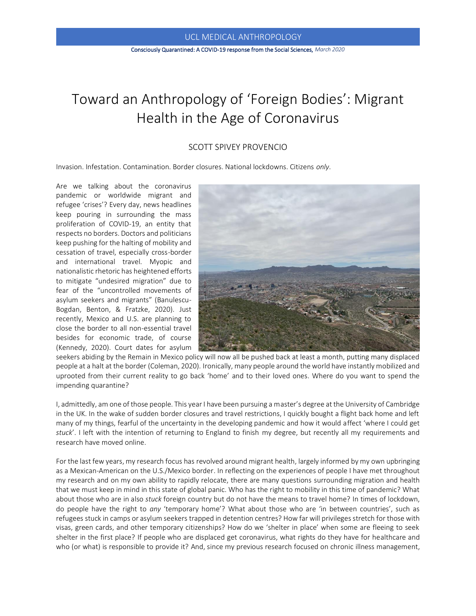## Consciously Quarantined: A COVID-19 response from the Social Sciences, *March 2020*

# Toward an Anthropology of 'Foreign Bodies': Migrant Health in the Age of Coronavirus

## SCOTT SPIVEY PROVENCIO

Invasion. Infestation. Contamination. Border closures. National lockdowns. Citizens *only*.

Are we talking about the coronavirus pandemic or worldwide migrant and refugee 'crises'? Every day, news headlines keep pouring in surrounding the mass proliferation of COVID-19, an entity that respects no borders. Doctors and politicians keep pushing for the halting of mobility and cessation of travel, especially cross-border and international travel. Myopic and nationalistic rhetoric has heightened efforts to mitigate "undesired migration" due to fear of the "uncontrolled movements of asylum seekers and migrants" (Banulescu-Bogdan, Benton, & Fratzke, 2020). Just recently, Mexico and U.S. are planning to close the border to all non-essential travel besides for economic trade, of course (Kennedy, 2020). Court dates for asylum



seekers abiding by the Remain in Mexico policy will now all be pushed back at least a month, putting many displaced people at a halt at the border (Coleman, 2020). Ironically, many people around the world have instantly mobilized and uprooted from their current reality to go back 'home' and to their loved ones. Where do you want to spend the impending quarantine?

I, admittedly, am one of those people. This year I have been pursuing a master's degree at the University of Cambridge in the UK. In the wake of sudden border closures and travel restrictions, I quickly bought a flight back home and left many of my things, fearful of the uncertainty in the developing pandemic and how it would affect 'where I could get *stuck*'. I left with the intention of returning to England to finish my degree, but recently all my requirements and research have moved online.

For the last few years, my research focus has revolved around migrant health, largely informed by my own upbringing as a Mexican-American on the U.S./Mexico border. In reflecting on the experiences of people I have met throughout my research and on my own ability to rapidly relocate, there are many questions surrounding migration and health that we must keep in mind in this state of global panic. Who has the right to mobility in this time of pandemic? What about those who are in also *stuck* foreign country but do not have the means to travel home? In times of lockdown, do people have the right to *any* 'temporary home'? What about those who are 'in between countries', such as refugees stuck in camps or asylum seekers trapped in detention centres? How far will privileges stretch for those with visas, green cards, and other temporary citizenships? How do we 'shelter in place' when some are fleeing to seek shelter in the first place? If people who are displaced get coronavirus, what rights do they have for healthcare and who (or what) is responsible to provide it? And, since my previous research focused on chronic illness management,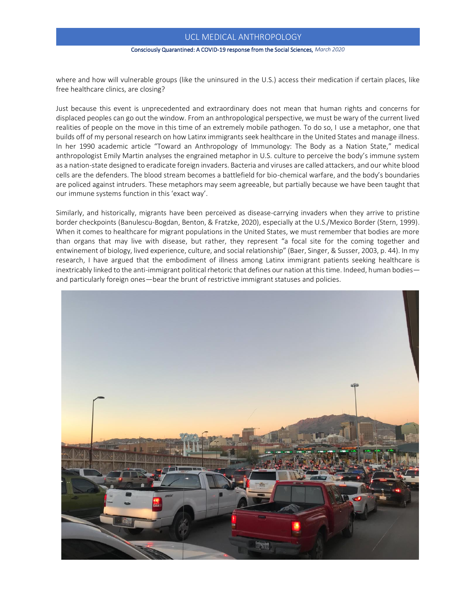### Consciously Quarantined: A COVID-19 response from the Social Sciences, *March 2020*

where and how will vulnerable groups (like the uninsured in the U.S.) access their medication if certain places, like free healthcare clinics, are closing?

Just because this event is unprecedented and extraordinary does not mean that human rights and concerns for displaced peoples can go out the window. From an anthropological perspective, we must be wary of the current lived realities of people on the move in this time of an extremely mobile pathogen. To do so, I use a metaphor, one that builds off of my personal research on how Latinx immigrants seek healthcare in the United States and manage illness. In her 1990 academic article "Toward an Anthropology of Immunology: The Body as a Nation State," medical anthropologist Emily Martin analyses the engrained metaphor in U.S. culture to perceive the body's immune system as a nation-state designed to eradicate foreign invaders. Bacteria and viruses are called attackers, and our white blood cells are the defenders. The blood stream becomes a battlefield for bio-chemical warfare, and the body's boundaries are policed against intruders. These metaphors may seem agreeable, but partially because we have been taught that our immune systems function in this 'exact way'.

Similarly, and historically, migrants have been perceived as disease-carrying invaders when they arrive to pristine border checkpoints (Banulescu-Bogdan, Benton, & Fratzke, 2020), especially at the U.S./Mexico Border (Stern, 1999). When it comes to healthcare for migrant populations in the United States, we must remember that bodies are more than organs that may live with disease, but rather, they represent "a focal site for the coming together and entwinement of biology, lived experience, culture, and social relationship" (Baer, Singer, & Susser, 2003, p. 44). In my research, I have argued that the embodiment of illness among Latinx immigrant patients seeking healthcare is inextricably linked to the anti-immigrant political rhetoric that defines our nation at this time. Indeed, human bodies and particularly foreign ones—bear the brunt of restrictive immigrant statuses and policies.

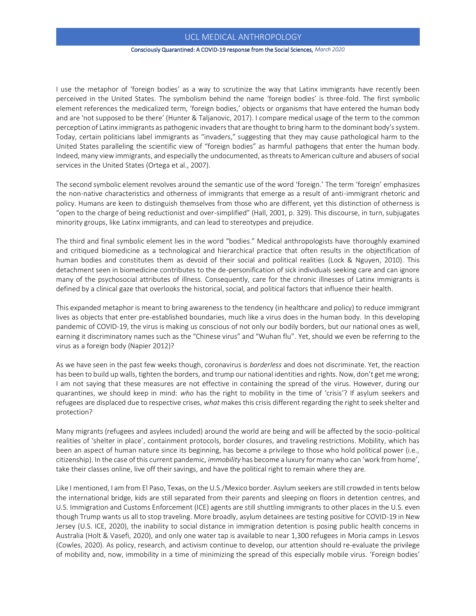## Consciously Quarantined: A COVID-19 response from the Social Sciences, *March 2020*

I use the metaphor of 'foreign bodies' as a way to scrutinize the way that Latinx immigrants have recently been perceived in the United States. The symbolism behind the name 'foreign bodies' is three-fold. The first symbolic element references the medicalized term, 'foreign bodies,' objects or organisms that have entered the human body and are 'not supposed to be there' (Hunter & Taljanovic, 2017). I compare medical usage of the term to the common perception of Latinx immigrants as pathogenic invaders that are thought to bring harm to the dominant body's system. Today, certain politicians label immigrants as "invaders," suggesting that they may cause pathological harm to the United States paralleling the scientific view of "foreign bodies" as harmful pathogens that enter the human body. Indeed, many view immigrants, and especially the undocumented, as threats to American culture and abusers of social services in the United States (Ortega et al., 2007).

The second symbolic element revolves around the semantic use of the word 'foreign.' The term 'foreign' emphasizes the non-native characteristics and otherness of immigrants that emerge as a result of anti-immigrant rhetoric and policy. Humans are keen to distinguish themselves from those who are different, yet this distinction of otherness is "open to the charge of being reductionist and over-simplified" (Hall, 2001, p. 329). This discourse, in turn, subjugates minority groups, like Latinx immigrants, and can lead to stereotypes and prejudice.

The third and final symbolic element lies in the word "bodies." Medical anthropologists have thoroughly examined and critiqued biomedicine as a technological and hierarchical practice that often results in the objectification of human bodies and constitutes them as devoid of their social and political realities (Lock & Nguyen, 2010). This detachment seen in biomedicine contributes to the de-personification of sick individuals seeking care and can ignore many of the psychosocial attributes of illness. Consequently, care for the chronic illnesses of Latinx immigrants is defined by a clinical gaze that overlooks the historical, social, and political factors that influence their health.

This expanded metaphor is meant to bring awareness to the tendency (in healthcare and policy) to reduce immigrant lives as objects that enter pre-established boundaries, much like a virus does in the human body. In this developing pandemic of COVID-19, the virus is making us conscious of not only our bodily borders, but our national ones as well, earning it discriminatory names such as the "Chinese virus" and "Wuhan flu". Yet, should we even be referring to the virus as a foreign body (Napier 2012)?

As we have seen in the past few weeks though, coronavirus is *borderless* and does not discriminate. Yet, the reaction has been to build up walls, tighten the borders, and trump our national identities and rights. Now, don't get me wrong; I am not saying that these measures are not effective in containing the spread of the virus. However, during our quarantines, we should keep in mind: *who* has the right to mobility in the time of 'crisis'? If asylum seekers and refugees are displaced due to respective crises, *what* makes this crisis different regarding the right to seek shelter and protection?

Many migrants (refugees and asylees included) around the world are being and will be affected by the socio-political realities of 'shelter in place', containment protocols, border closures, and traveling restrictions. Mobility, which has been an aspect of human nature since its beginning, has become a privilege to those who hold political power (i.e., citizenship). In the case of this current pandemic, *immobility* has become a luxury for many who can 'work from home', take their classes online, live off their savings, and have the political right to remain where they are.

Like I mentioned, I am from El Paso, Texas, on the U.S./Mexico border. Asylum seekers are still crowded in tents below the international bridge, kids are still separated from their parents and sleeping on floors in detention centres, and U.S. Immigration and Customs Enforcement (ICE) agents are still shuttling immigrants to other places in the U.S. even though Trump wants us all to stop traveling. More broadly, asylum detainees are testing positive for COVID-19 in New Jersey (U.S. ICE, 2020), the inability to social distance in immigration detention is posing public health concerns in Australia (Holt & Vasefi, 2020), and only one water tap is available to near 1,300 refugees in Moria camps in Lesvos (Cowles, 2020). As policy, research, and activism continue to develop, our attention should re-evaluate the privilege of mobility and, now, immobility in a time of minimizing the spread of this especially mobile virus. 'Foreign bodies'